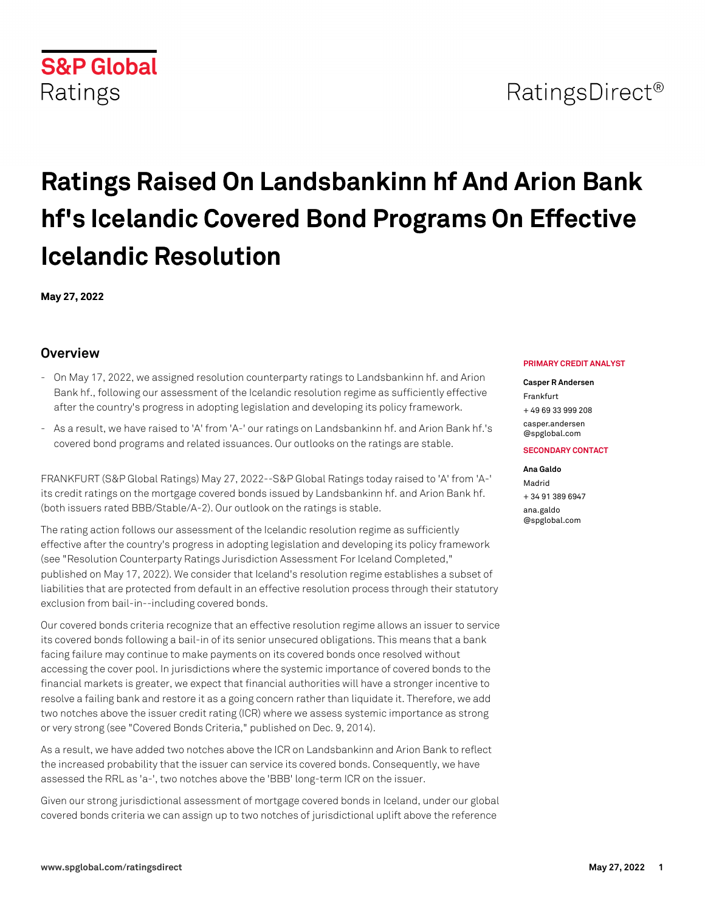# RatingsDirect<sup>®</sup>

# **Ratings Raised On Landsbankinn hf And Arion Bank hf's Icelandic Covered Bond Programs On Effective Icelandic Resolution**

**May 27, 2022**

## **Overview**

- On May 17, 2022, we assigned resolution counterparty ratings to Landsbankinn hf. and Arion Bank hf., following our assessment of the Icelandic resolution regime as sufficiently effective after the country's progress in adopting legislation and developing its policy framework.
- As a result, we have raised to 'A' from 'A-' our ratings on Landsbankinn hf. and Arion Bank hf.'s covered bond programs and related issuances. Our outlooks on the ratings are stable.

FRANKFURT (S&P Global Ratings) May 27, 2022--S&P Global Ratings today raised to 'A' from 'A-' its credit ratings on the mortgage covered bonds issued by Landsbankinn hf. and Arion Bank hf. (both issuers rated BBB/Stable/A-2). Our outlook on the ratings is stable.

The rating action follows our assessment of the Icelandic resolution regime as sufficiently effective after the country's progress in adopting legislation and developing its policy framework (see "Resolution Counterparty Ratings Jurisdiction Assessment For Iceland Completed," published on May 17, 2022). We consider that Iceland's resolution regime establishes a subset of liabilities that are protected from default in an effective resolution process through their statutory exclusion from bail-in--including covered bonds.

Our covered bonds criteria recognize that an effective resolution regime allows an issuer to service its covered bonds following a bail-in of its senior unsecured obligations. This means that a bank facing failure may continue to make payments on its covered bonds once resolved without accessing the cover pool. In jurisdictions where the systemic importance of covered bonds to the financial markets is greater, we expect that financial authorities will have a stronger incentive to resolve a failing bank and restore it as a going concern rather than liquidate it. Therefore, we add two notches above the issuer credit rating (ICR) where we assess systemic importance as strong or very strong (see "Covered Bonds Criteria," published on Dec. 9, 2014).

As a result, we have added two notches above the ICR on Landsbankinn and Arion Bank to reflect the increased probability that the issuer can service its covered bonds. Consequently, we have assessed the RRL as 'a-', two notches above the 'BBB' long-term ICR on the issuer.

Given our strong jurisdictional assessment of mortgage covered bonds in Iceland, under our global covered bonds criteria we can assign up to two notches of jurisdictional uplift above the reference

#### **PRIMARY CREDIT ANALYST**

### **Casper R Andersen**

Frankfurt + 49 69 33 999 208

[casper.andersen](mailto: casper.andersen@spglobal.com) [@spglobal.com](mailto: casper.andersen@spglobal.com)

#### **SECONDARY CONTACT**

#### **Ana Galdo**

Madrid + 34 91 389 6947 [ana.galdo](mailto: ana.galdo@spglobal.com) [@spglobal.com](mailto: ana.galdo@spglobal.com)

# **S&P Global** Ratings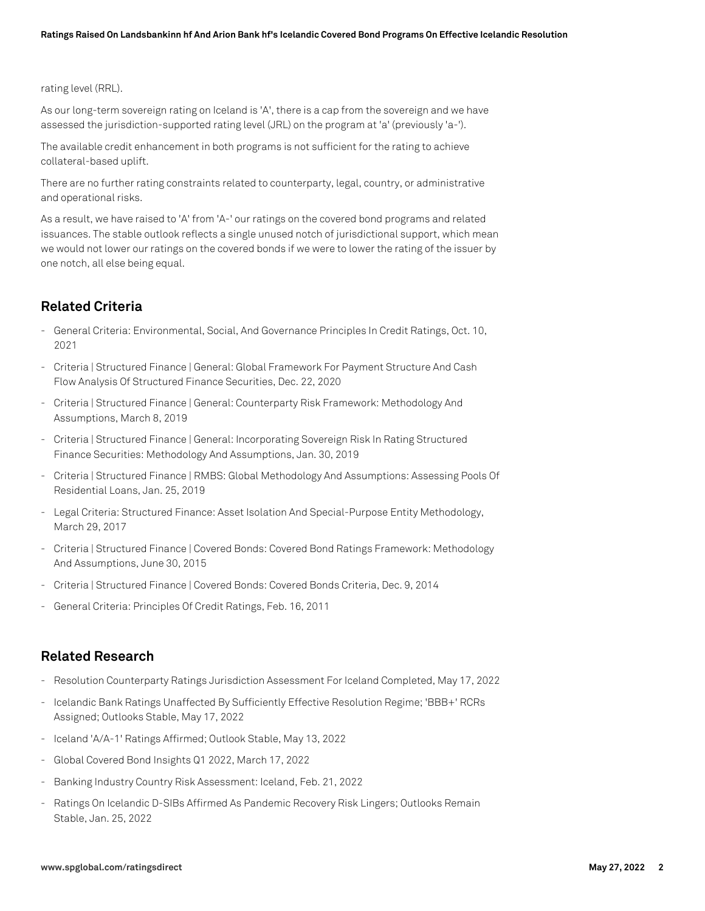rating level (RRL).

As our long-term sovereign rating on Iceland is 'A', there is a cap from the sovereign and we have assessed the jurisdiction-supported rating level (JRL) on the program at 'a' (previously 'a-').

The available credit enhancement in both programs is not sufficient for the rating to achieve collateral-based uplift.

There are no further rating constraints related to counterparty, legal, country, or administrative and operational risks.

As a result, we have raised to 'A' from 'A-' our ratings on the covered bond programs and related issuances. The stable outlook reflects a single unused notch of jurisdictional support, which mean we would not lower our ratings on the covered bonds if we were to lower the rating of the issuer by one notch, all else being equal.

# **Related Criteria**

- General Criteria: Environmental, Social, And Governance Principles In Credit Ratings, Oct. 10, 2021
- Criteria | Structured Finance | General: Global Framework For Payment Structure And Cash Flow Analysis Of Structured Finance Securities, Dec. 22, 2020
- Criteria | Structured Finance | General: Counterparty Risk Framework: Methodology And Assumptions, March 8, 2019
- Criteria | Structured Finance | General: Incorporating Sovereign Risk In Rating Structured Finance Securities: Methodology And Assumptions, Jan. 30, 2019
- Criteria | Structured Finance | RMBS: Global Methodology And Assumptions: Assessing Pools Of Residential Loans, Jan. 25, 2019
- Legal Criteria: Structured Finance: Asset Isolation And Special-Purpose Entity Methodology, March 29, 2017
- Criteria | Structured Finance | Covered Bonds: Covered Bond Ratings Framework: Methodology And Assumptions, June 30, 2015
- Criteria | Structured Finance | Covered Bonds: Covered Bonds Criteria, Dec. 9, 2014
- General Criteria: Principles Of Credit Ratings, Feb. 16, 2011

### **Related Research**

- Resolution Counterparty Ratings Jurisdiction Assessment For Iceland Completed, May 17, 2022
- Icelandic Bank Ratings Unaffected By Sufficiently Effective Resolution Regime; 'BBB+' RCRs Assigned; Outlooks Stable, May 17, 2022
- Iceland 'A/A-1' Ratings Affirmed; Outlook Stable, May 13, 2022
- Global Covered Bond Insights Q1 2022, March 17, 2022
- Banking Industry Country Risk Assessment: Iceland, Feb. 21, 2022
- Ratings On Icelandic D-SIBs Affirmed As Pandemic Recovery Risk Lingers; Outlooks Remain Stable, Jan. 25, 2022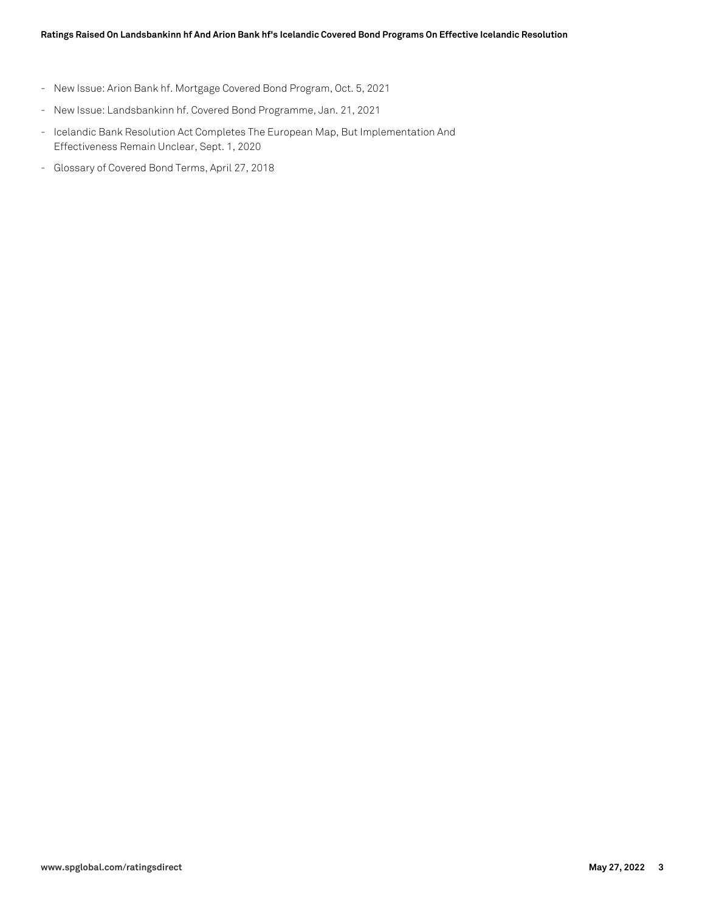- New Issue: Arion Bank hf. Mortgage Covered Bond Program, Oct. 5, 2021
- New Issue: Landsbankinn hf. Covered Bond Programme, Jan. 21, 2021
- Icelandic Bank Resolution Act Completes The European Map, But Implementation And Effectiveness Remain Unclear, Sept. 1, 2020
- Glossary of Covered Bond Terms, April 27, 2018